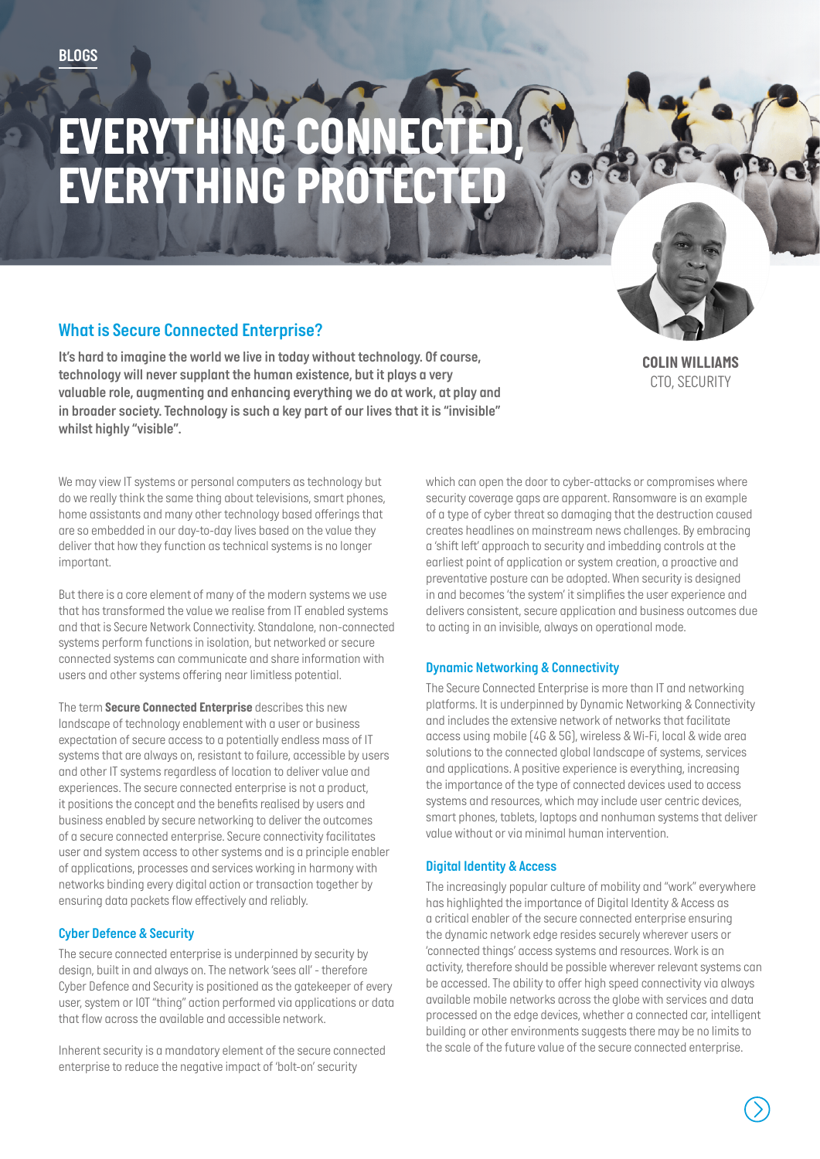# *EVERYTHING CONNECTED, EVERYTHING PROTECTED*

## *What is Secure Connected Enterprise?*

*It's hard to imagine the world we live in today without technology. Of course, technology will never supplant the human existence, but it plays a very valuable role, augmenting and enhancing everything we do at work, at play and in broader society. Technology is such a key part of our lives that it is "invisible" whilst highly "visible".*

*COLIN WILLIAMS CTO, SECURITY*

*We may view IT systems or personal computers as technology but do we really think the same thing about televisions, smart phones, home assistants and many other technology based offerings that are so embedded in our day-to-day lives based on the value they deliver that how they function as technical systems is no longer important.* 

*But there is a core element of many of the modern systems we use that has transformed the value we realise from IT enabled systems and that is Secure Network Connectivity. Standalone, non-connected systems perform functions in isolation, but networked or secure connected systems can communicate and share information with users and other systems offering near limitless potential.* 

*The term Secure Connected Enterprise describes this new landscape of technology enablement with a user or business expectation of secure access to a potentially endless mass of IT systems that are always on, resistant to failure, accessible by users and other IT systems regardless of location to deliver value and experiences. The secure connected enterprise is not a product, it positions the concept and the benefits realised by users and business enabled by secure networking to deliver the outcomes of a secure connected enterprise. Secure connectivity facilitates user and system access to other systems and is a principle enabler of applications, processes and services working in harmony with networks binding every digital action or transaction together by ensuring data packets flow effectively and reliably.* 

### *Cyber Defence & Security*

*The secure connected enterprise is underpinned by security by design, built in and always on. The network 'sees all' - therefore Cyber Defence and Security is positioned as the gatekeeper of every user, system or IOT "thing" action performed via applications or data that flow across the available and accessible network.* 

*Inherent security is a mandatory element of the secure connected enterprise to reduce the negative impact of 'bolt-on' security* 

*which can open the door to cyber-attacks or compromises where security coverage gaps are apparent. Ransomware is an example of a type of cyber threat so damaging that the destruction caused creates headlines on mainstream news challenges. By embracing a 'shift left' approach to security and imbedding controls at the earliest point of application or system creation, a proactive and preventative posture can be adopted. When security is designed in and becomes 'the system' it simplifies the user experience and delivers consistent, secure application and business outcomes due to acting in an invisible, always on operational mode.* 

### *Dynamic Networking & Connectivity*

*The Secure Connected Enterprise is more than IT and networking platforms. It is underpinned by Dynamic Networking & Connectivity and includes the extensive network of networks that facilitate access using mobile (4G & 5G), wireless & Wi-Fi, local & wide area solutions to the connected global landscape of systems, services and applications. A positive experience is everything, increasing the importance of the type of connected devices used to access systems and resources, which may include user centric devices, smart phones, tablets, laptops and nonhuman systems that deliver value without or via minimal human intervention.* 

### *Digital Identity & Access*

*The increasingly popular culture of mobility and "work" everywhere has highlighted the importance of Digital Identity & Access as a critical enabler of the secure connected enterprise ensuring the dynamic network edge resides securely wherever users or 'connected things' access systems and resources. Work is an activity, therefore should be possible wherever relevant systems can be accessed. The ability to offer high speed connectivity via always available mobile networks across the globe with services and data processed on the edge devices, whether a connected car, intelligent building or other environments suggests there may be no limits to the scale of the future value of the secure connected enterprise.*